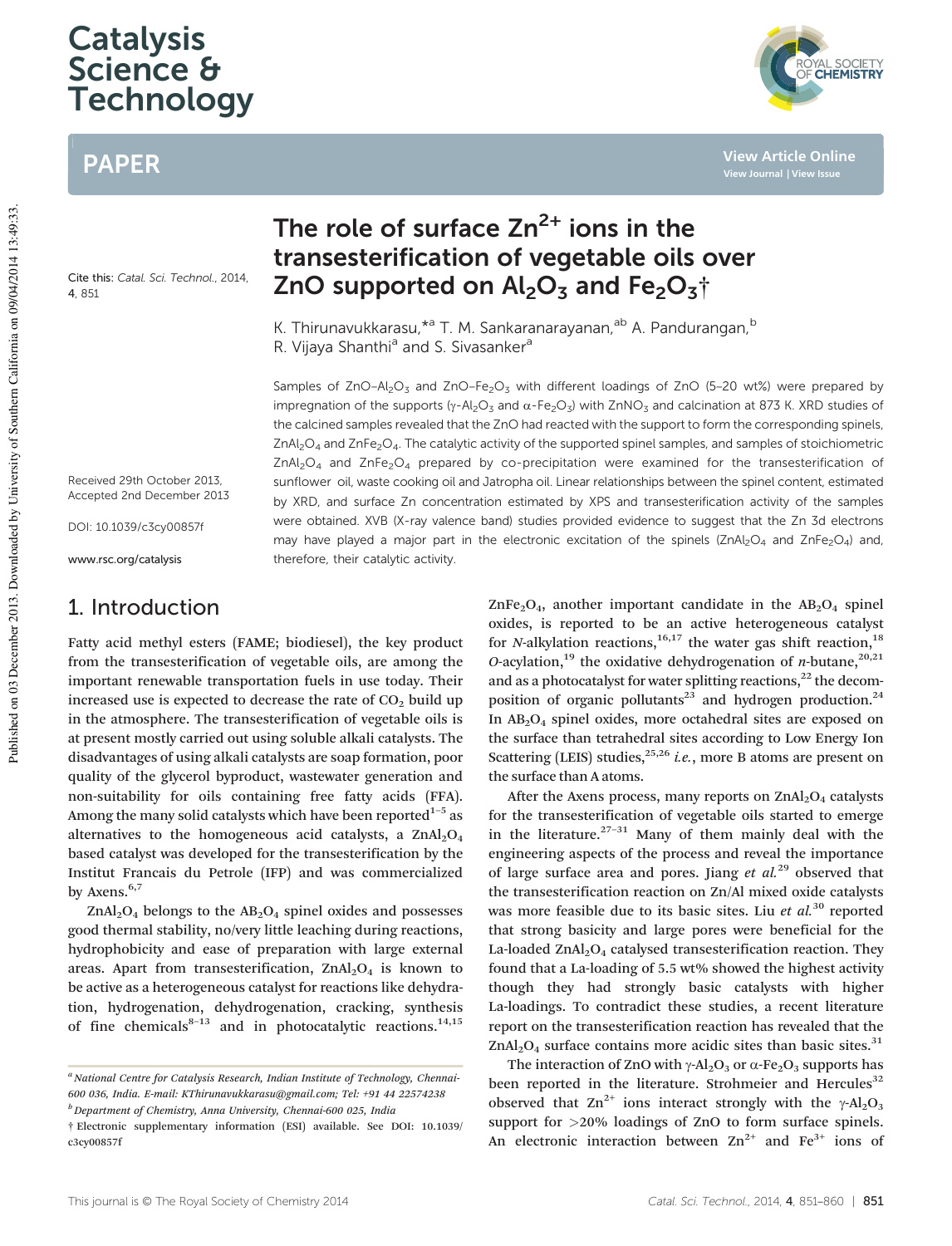# **Catalysis** Science & **Technology**

# PAPER

Cite this: Catal. Sci. Technol., 2014 4, 851

transesterification of vegetable oils over ZnO supported on  $Al_2O_3$  and  $Fe_2O_3$ <sup>+</sup> K. Thirunavukkarasu, \*<sup>a</sup> T. M. Sankaranarayanan, <sup>ab</sup> A. Pandurangan, <sup>b</sup>

The role of surface  $Zn^{2+}$  ions in the

R. Vijaya Shanthi<sup>a</sup> and S. Sivasanker<sup>a</sup>

Samples of ZnO–Al<sub>2</sub>O<sub>3</sub> and ZnO–Fe<sub>2</sub>O<sub>3</sub> with different loadings of ZnO (5–20 wt%) were prepared by impregnation of the supports ( $\gamma$ -Al<sub>2</sub>O<sub>3</sub> and α-Fe<sub>2</sub>O<sub>3</sub>) with ZnNO<sub>3</sub> and calcination at 873 K. XRD studies of the calcined samples revealed that the ZnO had reacted with the support to form the corresponding spinels, ZnAl<sub>2</sub>O<sub>4</sub> and ZnFe<sub>2</sub>O<sub>4</sub>. The catalytic activity of the supported spinel samples, and samples of stoichiometric  $ZnAI_2O_4$  and  $ZnFe_2O_4$  prepared by co-precipitation were examined for the transesterification of sunflower oil, waste cooking oil and Jatropha oil. Linear relationships between the spinel content, estimated by XRD, and surface Zn concentration estimated by XPS and transesterification activity of the samples were obtained. XVB (X-ray valence band) studies provided evidence to suggest that the Zn 3d electrons may have played a major part in the electronic excitation of the spinels (ZnAl<sub>2</sub>O<sub>4</sub> and ZnFe<sub>2</sub>O<sub>4</sub>) and, therefore, their catalytic activity.

Received 29th October 2013, Accepted 2nd December 2013

DOI: 10.1039/c3cy00857f

www.rsc.org/catalysis

# 1. Introduction

Fatty acid methyl esters (FAME; biodiesel), the key product from the transesterification of vegetable oils, are among the important renewable transportation fuels in use today. Their increased use is expected to decrease the rate of  $CO<sub>2</sub>$  build up in the atmosphere. The transesterification of vegetable oils is at present mostly carried out using soluble alkali catalysts. The disadvantages of using alkali catalysts are soap formation, poor quality of the glycerol byproduct, wastewater generation and non-suitability for oils containing free fatty acids (FFA). Among the many solid catalysts which have been reported $^{\rm 1-5}$  as alternatives to the homogeneous acid catalysts, a  $ZnAl<sub>2</sub>O<sub>4</sub>$ based catalyst was developed for the transesterification by the Institut Francais du Petrole (IFP) and was commercialized by Axens.<sup>6,7</sup>

 $ZnAl<sub>2</sub>O<sub>4</sub>$  belongs to the  $AB<sub>2</sub>O<sub>4</sub>$  spinel oxides and possesses good thermal stability, no/very little leaching during reactions, hydrophobicity and ease of preparation with large external areas. Apart from transesterification,  $ZnAl<sub>2</sub>O<sub>4</sub>$  is known to be active as a heterogeneous catalyst for reactions like dehydration, hydrogenation, dehydrogenation, cracking, synthesis of fine chemicals $8-13$  and in photocatalytic reactions.<sup>14,15</sup>  $ZnFe<sub>2</sub>O<sub>4</sub>$ , another important candidate in the  $AB<sub>2</sub>O<sub>4</sub>$  spinel oxides, is reported to be an active heterogeneous catalyst for *N*-alkylation reactions,<sup>16,17</sup> the water gas shift reaction,<sup>18</sup> *O*-acylation,<sup>19</sup> the oxidative dehydrogenation of *n*-butane,<sup>20,21</sup> and as a photocatalyst for water splitting reactions, $^{22}$  the decomposition of organic pollutants<sup>23</sup> and hydrogen production.<sup>24</sup> In AB2O<sup>4</sup> spinel oxides, more octahedral sites are exposed on the surface than tetrahedral sites according to Low Energy Ion Scattering (LEIS) studies,<sup>25,26</sup> *i.e.*, more B atoms are present on the surface than A atoms.

After the Axens process, many reports on  $\text{ZnAl}_2\text{O}_4$  catalysts for the transesterification of vegetable oils started to emerge in the literature. $27-31$  Many of them mainly deal with the engineering aspects of the process and reveal the importance of large surface area and pores. Jiang *et al.*<sup>29</sup> observed that the transesterification reaction on Zn/Al mixed oxide catalysts was more feasible due to its basic sites. Liu *et al.*<sup>30</sup> reported that strong basicity and large pores were beneficial for the La-loaded  $ZnAl<sub>2</sub>O<sub>4</sub>$  catalysed transesterification reaction. They found that a La-loading of 5.5 wt% showed the highest activity though they had strongly basic catalysts with higher La-loadings. To contradict these studies, a recent literature report on the transesterification reaction has revealed that the  $ZnAl<sub>2</sub>O<sub>4</sub>$  surface contains more acidic sites than basic sites.<sup>31</sup>

The interaction of ZnO with  $\gamma$ -Al<sub>2</sub>O<sub>3</sub> or  $\alpha$ -Fe<sub>2</sub>O<sub>3</sub> supports has been reported in the literature. Strohmeier and Hercules<sup>32</sup> observed that  $\text{Zn}^{2+}$  ions interact strongly with the γ-Al<sub>2</sub>O<sub>3</sub> support for >20% loadings of ZnO to form surface spinels. An electronic interaction between  $Zn^{2+}$  and  $Fe^{3+}$  ions of

**View Article Online View Journal | View Issue**

<sup>&</sup>lt;sup>a</sup> National Centre for Catalysis Research, Indian Institute of Technology, Chennai-*600 036, India. E-mail: KThirunavukkarasu@gmail.com; Tel: +91 44 22574238 <sup>b</sup>Department of Chemistry, Anna University, Chennai-600 025, India*

<sup>†</sup> Electronic supplementary information (ESI) available. See DOI: 10.1039/ c3cy00857f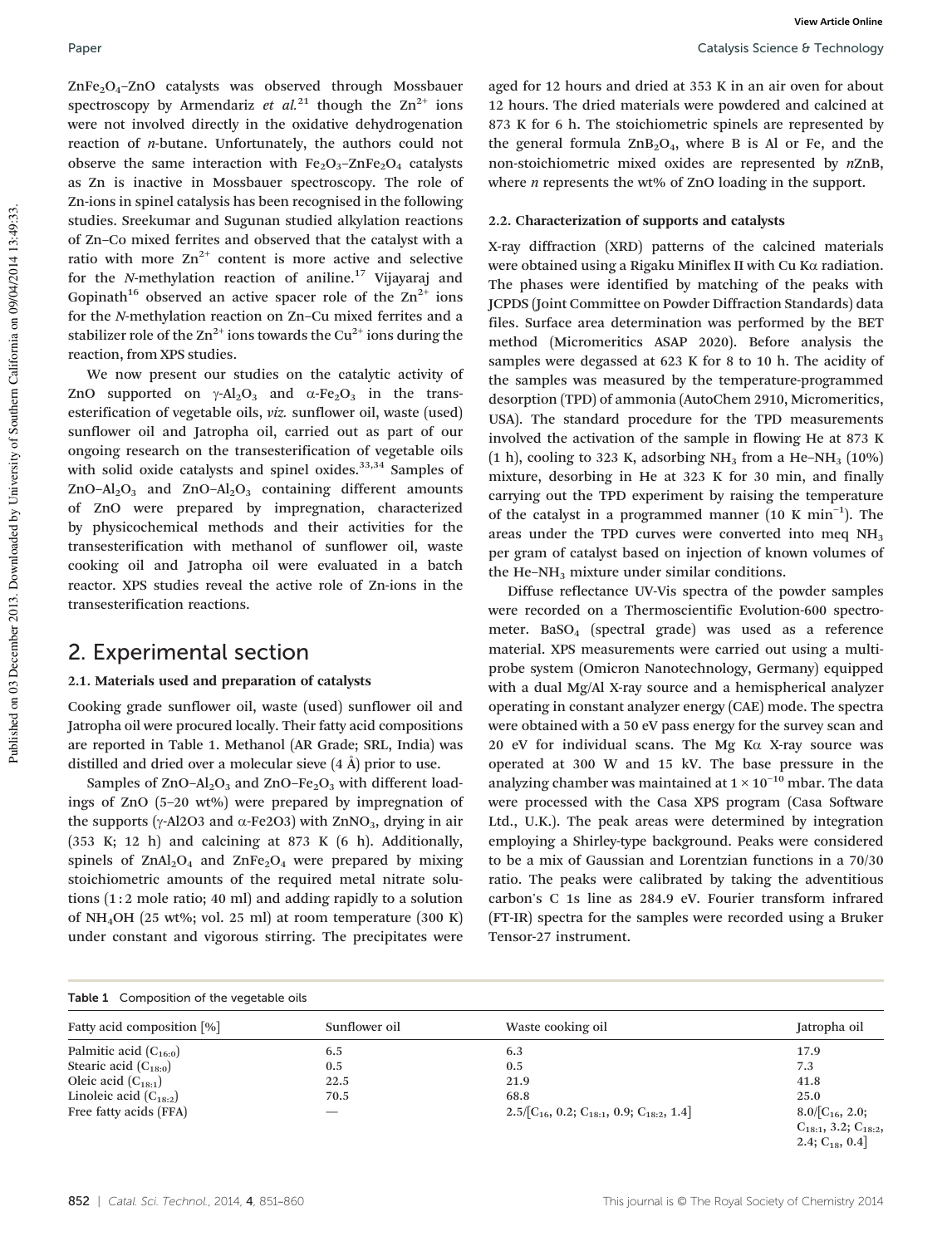$ZnFe<sub>2</sub>O<sub>4</sub>$ –ZnO catalysts was observed through Mossbauer spectroscopy by Armendariz *et al.*<sup>21</sup> though the  $\text{Zn}^{2+}$  ions were not involved directly in the oxidative dehydrogenation reaction of *n*-butane. Unfortunately, the authors could not observe the same interaction with  $Fe<sub>2</sub>O<sub>3</sub>$ -ZnFe<sub>2</sub>O<sub>4</sub> catalysts as Zn is inactive in Mossbauer spectroscopy. The role of Zn-ions in spinel catalysis has been recognised in the following studies. Sreekumar and Sugunan studied alkylation reactions of Zn–Co mixed ferrites and observed that the catalyst with a ratio with more  $Zn^{2+}$  content is more active and selective for the *N*-methylation reaction of aniline.<sup>17</sup> Vijayaraj and Gopinath<sup>16</sup> observed an active spacer role of the  $\text{Zn}^{2+}$  ions for the *N*-methylation reaction on Zn–Cu mixed ferrites and a stabilizer role of the  $\text{Zn}^{2+}$  ions towards the Cu<sup>2+</sup> ions during the reaction, from XPS studies.

We now present our studies on the catalytic activity of ZnO supported on  $\gamma$ -Al<sub>2</sub>O<sub>3</sub> and  $\alpha$ -Fe<sub>2</sub>O<sub>3</sub> in the transesterification of vegetable oils, *viz.* sunflower oil, waste (used) sunflower oil and Jatropha oil, carried out as part of our ongoing research on the transesterification of vegetable oils with solid oxide catalysts and spinel oxides.<sup>33,34</sup> Samples of ZnO–Al<sub>2</sub>O<sub>3</sub> and ZnO–Al<sub>2</sub>O<sub>3</sub> containing different amounts of ZnO were prepared by impregnation, characterized by physicochemical methods and their activities for the transesterification with methanol of sunflower oil, waste cooking oil and Jatropha oil were evaluated in a batch reactor. XPS studies reveal the active role of Zn-ions in the transesterification reactions.

## 2. Experimental section

## 2.1. Materials used and preparation of catalysts

Cooking grade sunflower oil, waste (used) sunflower oil and Jatropha oil were procured locally. Their fatty acid compositions are reported in Table 1. Methanol (AR Grade; SRL, India) was distilled and dried over a molecular sieve (4 Å) prior to use.

Samples of  $ZnO-Al<sub>2</sub>O<sub>3</sub>$  and  $ZnO-Fe<sub>2</sub>O<sub>3</sub>$  with different loadings of ZnO (5–20 wt%) were prepared by impregnation of the supports (γ-Al2O3 and  $α$ -Fe2O3) with ZnNO<sub>3</sub>, drying in air (353 K; 12 h) and calcining at 873 K (6 h). Additionally, spinels of  $ZnAl<sub>2</sub>O<sub>4</sub>$  and  $ZnFe<sub>2</sub>O<sub>4</sub>$  were prepared by mixing stoichiometric amounts of the required metal nitrate solutions (1 : 2 mole ratio; 40 ml) and adding rapidly to a solution of NH4OH (25 wt%; vol. 25 ml) at room temperature (300 K) under constant and vigorous stirring. The precipitates were aged for 12 hours and dried at 353 K in an air oven for about 12 hours. The dried materials were powdered and calcined at 873 K for 6 h. The stoichiometric spinels are represented by the general formula  $ZnB_2O_4$ , where B is Al or Fe, and the non-stoichiometric mixed oxides are represented by *n*ZnB, where *n* represents the wt% of ZnO loading in the support.

## 2.2. Characterization of supports and catalysts

X-ray diffraction (XRD) patterns of the calcined materials were obtained using a Rigaku Miniflex II with Cu Kα radiation. The phases were identified by matching of the peaks with JCPDS (Joint Committee on Powder Diffraction Standards) data files. Surface area determination was performed by the BET method (Micromeritics ASAP 2020). Before analysis the samples were degassed at 623 K for 8 to 10 h. The acidity of the samples was measured by the temperature-programmed desorption (TPD) of ammonia (AutoChem 2910, Micromeritics, USA). The standard procedure for the TPD measurements involved the activation of the sample in flowing He at 873 K (1 h), cooling to 323 K, adsorbing NH<sub>3</sub> from a He-NH<sub>3</sub> (10%) mixture, desorbing in He at 323 K for 30 min, and finally carrying out the TPD experiment by raising the temperature of the catalyst in a programmed manner (10 K min<sup>-1</sup>). The areas under the TPD curves were converted into meq  $NH<sub>3</sub>$ per gram of catalyst based on injection of known volumes of the He–NH<sub>3</sub> mixture under similar conditions.

Diffuse reflectance UV-Vis spectra of the powder samples were recorded on a Thermoscientific Evolution-600 spectrometer. BaSO<sub>4</sub> (spectral grade) was used as a reference material. XPS measurements were carried out using a multiprobe system (Omicron Nanotechnology, Germany) equipped with a dual Mg/Al X-ray source and a hemispherical analyzer operating in constant analyzer energy (CAE) mode. The spectra were obtained with a 50 eV pass energy for the survey scan and 20 eV for individual scans. The Mg Kα X-ray source was operated at 300 W and 15 kV. The base pressure in the analyzing chamber was maintained at  $1 \times 10^{-10}$  mbar. The data were processed with the Casa XPS program (Casa Software Ltd., U.K.). The peak areas were determined by integration employing a Shirley-type background. Peaks were considered to be a mix of Gaussian and Lorentzian functions in a 70/30 ratio. The peaks were calibrated by taking the adventitious carbon's C 1s line as 284.9 eV. Fourier transform infrared (FT-IR) spectra for the samples were recorded using a Bruker Tensor-27 instrument.

| Table 1 Composition of the vegetable oils |               |                                                   |                              |  |
|-------------------------------------------|---------------|---------------------------------------------------|------------------------------|--|
| Fatty acid composition [%]                | Sunflower oil | Waste cooking oil                                 | Jatropha oil                 |  |
| Palmitic acid $(C_{16:0})$                | 6.5           | 6.3                                               | 17.9                         |  |
| Stearic acid $(C_{18:0})$                 | 0.5           | 0.5                                               | 7.3                          |  |
| Oleic acid $(C_{18:1})$                   | 22.5          | 21.9                                              | 41.8                         |  |
| Linoleic acid $(C_{18:2})$                | 70.5          | 68.8                                              | 25.0                         |  |
| Free fatty acids (FFA)                    |               | $2.5/[C_{16}, 0.2; C_{18:1}, 0.9; C_{18:2}, 1.4]$ | $8.0/[C_{16}, 2.0;$          |  |
|                                           |               |                                                   | $C_{18:1}$ , 3.2; $C_{18:2}$ |  |
|                                           |               |                                                   | 2.4; $C_{18}$ , 0.4]         |  |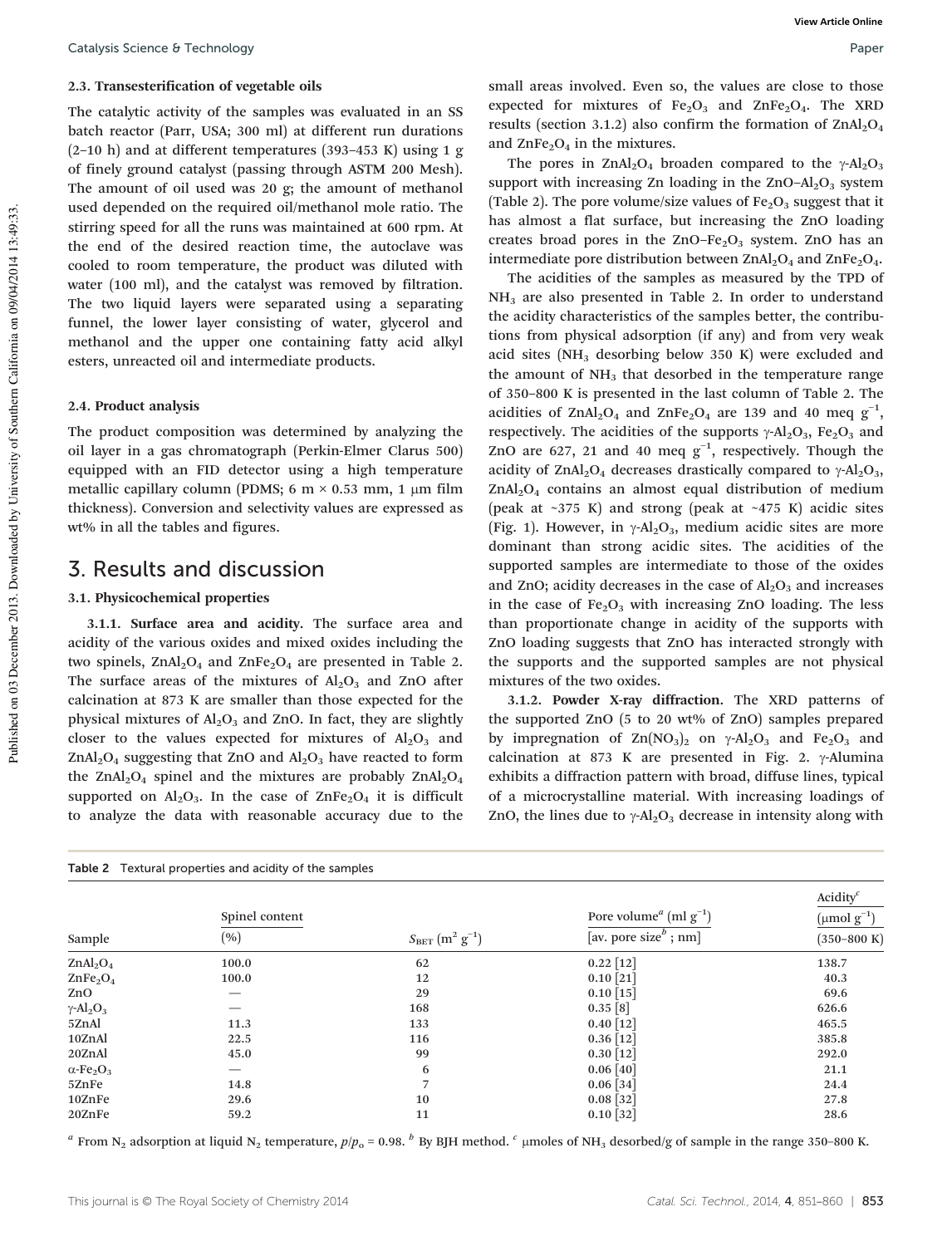## 2.3. Transesterification of vegetable oils

The catalytic activity of the samples was evaluated in an SS batch reactor (Parr, USA; 300 ml) at different run durations  $(2-10 h)$  and at different temperatures (393–453 K) using 1 g of finely ground catalyst (passing through ASTM 200 Mesh). The amount of oil used was 20 g; the amount of methanol used depended on the required oil/methanol mole ratio. The stirring speed for all the runs was maintained at 600 rpm. At the end of the desired reaction time, the autoclave was cooled to room temperature, the product was diluted with water (100 ml), and the catalyst was removed by filtration. The two liquid layers were separated using a separating funnel, the lower layer consisting of water, glycerol and methanol and the upper one containing fatty acid alkyl esters, unreacted oil and intermediate products.

## 2.4. Product analysis

The product composition was determined by analyzing the oil layer in a gas chromatograph (Perkin-Elmer Clarus 500) equipped with an FID detector using a high temperature metallic capillary column (PDMS; 6 m  $\times$  0.53 mm, 1 µm film thickness). Conversion and selectivity values are expressed as wt% in all the tables and figures.

## 3. Results and discussion

### 3.1. Physicochemical properties

3.1.1. Surface area and acidity. The surface area and acidity of the various oxides and mixed oxides including the two spinels,  $ZnAl<sub>2</sub>O<sub>4</sub>$  and  $ZnFe<sub>2</sub>O<sub>4</sub>$  are presented in Table 2. The surface areas of the mixtures of  $Al_2O_3$  and ZnO after calcination at 873 K are smaller than those expected for the physical mixtures of  $Al_2O_3$  and ZnO. In fact, they are slightly closer to the values expected for mixtures of  $Al_2O_3$  and  $ZnAl<sub>2</sub>O<sub>4</sub>$  suggesting that ZnO and  $Al<sub>2</sub>O<sub>3</sub>$  have reacted to form the ZnAl<sub>2</sub>O<sub>4</sub> spinel and the mixtures are probably  $ZnAl<sub>2</sub>O<sub>4</sub>$ supported on  $Al_2O_3$ . In the case of  $ZnFe_2O_4$  it is difficult to analyze the data with reasonable accuracy due to the small areas involved. Even so, the values are close to those expected for mixtures of  $Fe<sub>2</sub>O<sub>3</sub>$  and  $ZnFe<sub>2</sub>O<sub>4</sub>$ . The XRD results (section 3.1.2) also confirm the formation of  $\text{ZnAl}_2\text{O}_4$ and  $\text{ZnFe}_2\text{O}_4$  in the mixtures.

The pores in ZnAl<sub>2</sub>O<sub>4</sub> broaden compared to the  $\gamma$ -Al<sub>2</sub>O<sub>3</sub> support with increasing Zn loading in the  $ZnO-Al<sub>2</sub>O<sub>3</sub>$  system (Table 2). The pore volume/size values of  $Fe<sub>2</sub>O<sub>3</sub>$  suggest that it has almost a flat surface, but increasing the ZnO loading creates broad pores in the  $ZnO-Fe<sub>2</sub>O<sub>3</sub>$  system. ZnO has an intermediate pore distribution between  $ZnAl<sub>2</sub>O<sub>4</sub>$  and  $ZnFe<sub>2</sub>O<sub>4</sub>$ .

The acidities of the samples as measured by the TPD of NH<sub>3</sub> are also presented in Table 2. In order to understand the acidity characteristics of the samples better, the contributions from physical adsorption (if any) and from very weak acid sites  $(NH<sub>3</sub>$  desorbing below 350 K) were excluded and the amount of  $NH<sub>3</sub>$  that desorbed in the temperature range of 350–800 K is presented in the last column of Table 2. The acidities of ZnAl<sub>2</sub>O<sub>4</sub> and ZnFe<sub>2</sub>O<sub>4</sub> are 139 and 40 meq  $g^{-1}$ , respectively. The acidities of the supports  $\gamma$ -Al<sub>2</sub>O<sub>3</sub>, Fe<sub>2</sub>O<sub>3</sub> and ZnO are 627, 21 and 40 meq  $g^{-1}$ , respectively. Though the acidity of ZnAl<sub>2</sub>O<sub>4</sub> decreases drastically compared to  $\gamma$ -Al<sub>2</sub>O<sub>3</sub>,  $ZnAl<sub>2</sub>O<sub>4</sub>$  contains an almost equal distribution of medium (peak at  $\sim$ 375 K) and strong (peak at  $\sim$ 475 K) acidic sites (Fig. 1). However, in  $\gamma$ -Al<sub>2</sub>O<sub>3</sub>, medium acidic sites are more dominant than strong acidic sites. The acidities of the supported samples are intermediate to those of the oxides and ZnO; acidity decreases in the case of  $Al_2O_3$  and increases in the case of  $Fe<sub>2</sub>O<sub>3</sub>$  with increasing ZnO loading. The less than proportionate change in acidity of the supports with ZnO loading suggests that ZnO has interacted strongly with the supports and the supported samples are not physical mixtures of the two oxides.

3.1.2. Powder X-ray diffraction. The XRD patterns of the supported ZnO (5 to 20 wt% of ZnO) samples prepared by impregnation of  $\text{Zn}(\text{NO}_3)_2$  on  $\gamma$ -Al<sub>2</sub>O<sub>3</sub> and Fe<sub>2</sub>O<sub>3</sub> and calcination at 873 K are presented in Fig. 2. γ-Alumina exhibits a diffraction pattern with broad, diffuse lines, typical of a microcrystalline material. With increasing loadings of ZnO, the lines due to  $\gamma$ -Al<sub>2</sub>O<sub>3</sub> decrease in intensity along with

| Table 2 Textural properties and acidity of the samples |                |                              |                                                |                         |  |
|--------------------------------------------------------|----------------|------------------------------|------------------------------------------------|-------------------------|--|
|                                                        |                |                              |                                                | Acidity $c$             |  |
|                                                        | Spinel content |                              | Pore volume <sup><i>a</i></sup> (ml $g^{-1}$ ) | $\pmod{g^{-1}}$         |  |
| Sample                                                 | (%)            | $S_{\rm BET}$ $(m^2 g^{-1})$ | [av. pore size <sup><math>b</math></sup> ; nm] | $(350 - 800 \text{ K})$ |  |
| ZnAl <sub>2</sub> O <sub>4</sub>                       | 100.0          | 62                           | $0.22$ [12]                                    | 138.7                   |  |
| ZnFe <sub>2</sub> O <sub>4</sub>                       | 100.0          | 12                           | $0.10$ [21]                                    | 40.3                    |  |
| ZnO                                                    |                | 29                           | $0.10$ [15]                                    | 69.6                    |  |
| $\gamma$ -Al <sub>2</sub> O <sub>3</sub>               |                | 168                          | 0.35 [8]                                       | 626.6                   |  |
| 5ZnAl                                                  | 11.3           | 133                          | $0.40$ [12]                                    | 465.5                   |  |
| 10ZnAl                                                 | 22.5           | 116                          | $0.36$ [12]                                    | 385.8                   |  |
| 20ZnAl                                                 | 45.0           | 99                           | $0.30$ [12]                                    | 292.0                   |  |
| $\alpha$ -Fe <sub>2</sub> O <sub>3</sub>               |                | 6                            | $0.06\ [40]$                                   | 21.1                    |  |
| 5ZnFe                                                  | 14.8           | 7                            | $0.06$ [34]                                    | 24.4                    |  |
| 10ZnFe                                                 | 29.6           | 10                           | $0.08$ [32]                                    | 27.8                    |  |
| 20ZnFe                                                 | 59.2           | 11                           | $0.10$ [32]                                    | 28.6                    |  |

<sup>a</sup> From N<sub>2</sub> adsorption at liquid N<sub>2</sub> temperature,  $p/p_o$  = 0.98. <sup>b</sup> By BJH method. <sup>c</sup> µmoles of NH<sub>3</sub> desorbed/g of sample in the range 350–800 K.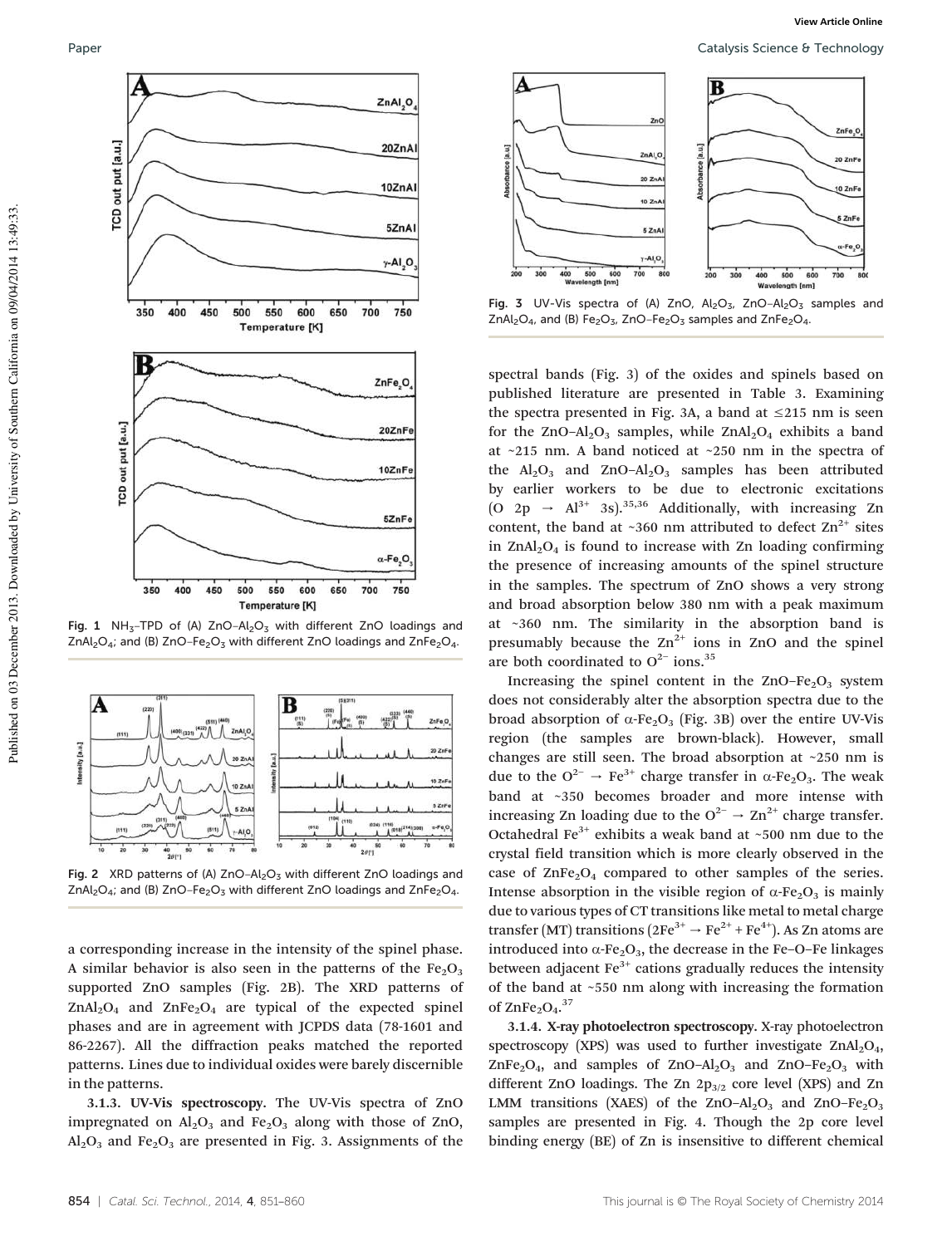

Fig. 1 NH<sub>3</sub>-TPD of (A)  $ZnO-Al<sub>2</sub>O<sub>3</sub>$  with different ZnO loadings and ZnAl<sub>2</sub>O<sub>4</sub>; and (B) ZnO–Fe<sub>2</sub>O<sub>3</sub> with different ZnO loadings and ZnFe<sub>2</sub>O<sub>4</sub>.



Fig. 2 XRD patterns of (A)  $ZnO-Al<sub>2</sub>O<sub>3</sub>$  with different ZnO loadings and  $ZnAl<sub>2</sub>O<sub>4</sub>$ ; and (B)  $ZnO-Fe<sub>2</sub>O<sub>3</sub>$  with different ZnO loadings and  $ZnFe<sub>2</sub>O<sub>4</sub>$ .

a corresponding increase in the intensity of the spinel phase. A similar behavior is also seen in the patterns of the  $Fe<sub>2</sub>O<sub>3</sub>$ supported ZnO samples (Fig. 2B). The XRD patterns of  $ZnAl<sub>2</sub>O<sub>4</sub>$  and  $ZnFe<sub>2</sub>O<sub>4</sub>$  are typical of the expected spinel phases and are in agreement with JCPDS data (78-1601 and 86-2267). All the diffraction peaks matched the reported patterns. Lines due to individual oxides were barely discernible in the patterns.

3.1.3. UV-Vis spectroscopy. The UV-Vis spectra of ZnO impregnated on  $Al_2O_3$  and  $Fe_2O_3$  along with those of ZnO,  $Al_2O_3$  and Fe<sub>2</sub>O<sub>3</sub> are presented in Fig. 3. Assignments of the



Fig. 3 UV-Vis spectra of (A) ZnO,  $Al_2O_3$ , ZnO- $Al_2O_3$  samples and  $ZnAl_2O_4$ , and (B) Fe<sub>2</sub>O<sub>3</sub>, ZnO–Fe<sub>2</sub>O<sub>3</sub> samples and ZnFe<sub>2</sub>O<sub>4</sub>.

spectral bands (Fig. 3) of the oxides and spinels based on published literature are presented in Table 3. Examining the spectra presented in Fig. 3A, a band at  $\leq$ 215 nm is seen for the  $ZnO-Al<sub>2</sub>O<sub>3</sub>$  samples, while  $ZnAl<sub>2</sub>O<sub>4</sub>$  exhibits a band at ~215 nm. A band noticed at ~250 nm in the spectra of the  $Al_2O_3$  and  $ZnO-Al_2O_3$  samples has been attributed by earlier workers to be due to electronic excitations (O 2p  $\rightarrow$  Al<sup>3+</sup> 3s).<sup>35,36</sup> Additionally, with increasing Zn content, the band at ~360 nm attributed to defect  $\text{Zn}^{2+}$  sites in  $ZnAl_2O_4$  is found to increase with Zn loading confirming the presence of increasing amounts of the spinel structure in the samples. The spectrum of ZnO shows a very strong and broad absorption below 380 nm with a peak maximum at ~360 nm. The similarity in the absorption band is presumably because the  $Zn^{2+}$  ions in ZnO and the spinel are both coordinated to  $O^{2-}$  ions.<sup>35</sup>

Increasing the spinel content in the  $ZnO-Fe<sub>2</sub>O<sub>3</sub>$  system does not considerably alter the absorption spectra due to the broad absorption of  $α$ -Fe<sub>2</sub>O<sub>3</sub> (Fig. 3B) over the entire UV-Vis region (the samples are brown-black). However, small changes are still seen. The broad absorption at ~250 nm is due to the  $O^{2-} \rightarrow Fe^{3+}$  charge transfer in  $\alpha$ -Fe<sub>2</sub>O<sub>3</sub>. The weak band at ~350 becomes broader and more intense with increasing Zn loading due to the  $O^{2-} \rightarrow Zn^{2+}$  charge transfer. Octahedral Fe<sup>3+</sup> exhibits a weak band at  $\sim$ 500 nm due to the crystal field transition which is more clearly observed in the case of  $\text{ZnFe}_2\text{O}_4$  compared to other samples of the series. Intense absorption in the visible region of  $α$ -Fe<sub>2</sub>O<sub>3</sub> is mainly due to various types of CT transitions like metal to metal charge transfer (MT) transitions ( $2Fe^{3+} \rightarrow Fe^{2+} + Fe^{4+}$ ). As Zn atoms are introduced into  $\alpha$ -Fe<sub>2</sub>O<sub>3</sub>, the decrease in the Fe–O–Fe linkages between adjacent  $Fe<sup>3+</sup>$  cations gradually reduces the intensity of the band at ~550 nm along with increasing the formation of  $\text{ZnFe}_2\text{O}_4$ .<sup>37</sup>

3.1.4. X-ray photoelectron spectroscopy. X-ray photoelectron spectroscopy (XPS) was used to further investigate  $ZnAl<sub>2</sub>O<sub>4</sub>$ , ZnFe<sub>2</sub>O<sub>4</sub>, and samples of ZnO-Al<sub>2</sub>O<sub>3</sub> and ZnO-Fe<sub>2</sub>O<sub>3</sub> with different ZnO loadings. The Zn  $2p_{3/2}$  core level (XPS) and Zn LMM transitions (XAES) of the ZnO–Al<sub>2</sub>O<sub>3</sub> and ZnO–Fe<sub>2</sub>O<sub>3</sub> samples are presented in Fig. 4. Though the 2p core level binding energy (BE) of Zn is insensitive to different chemical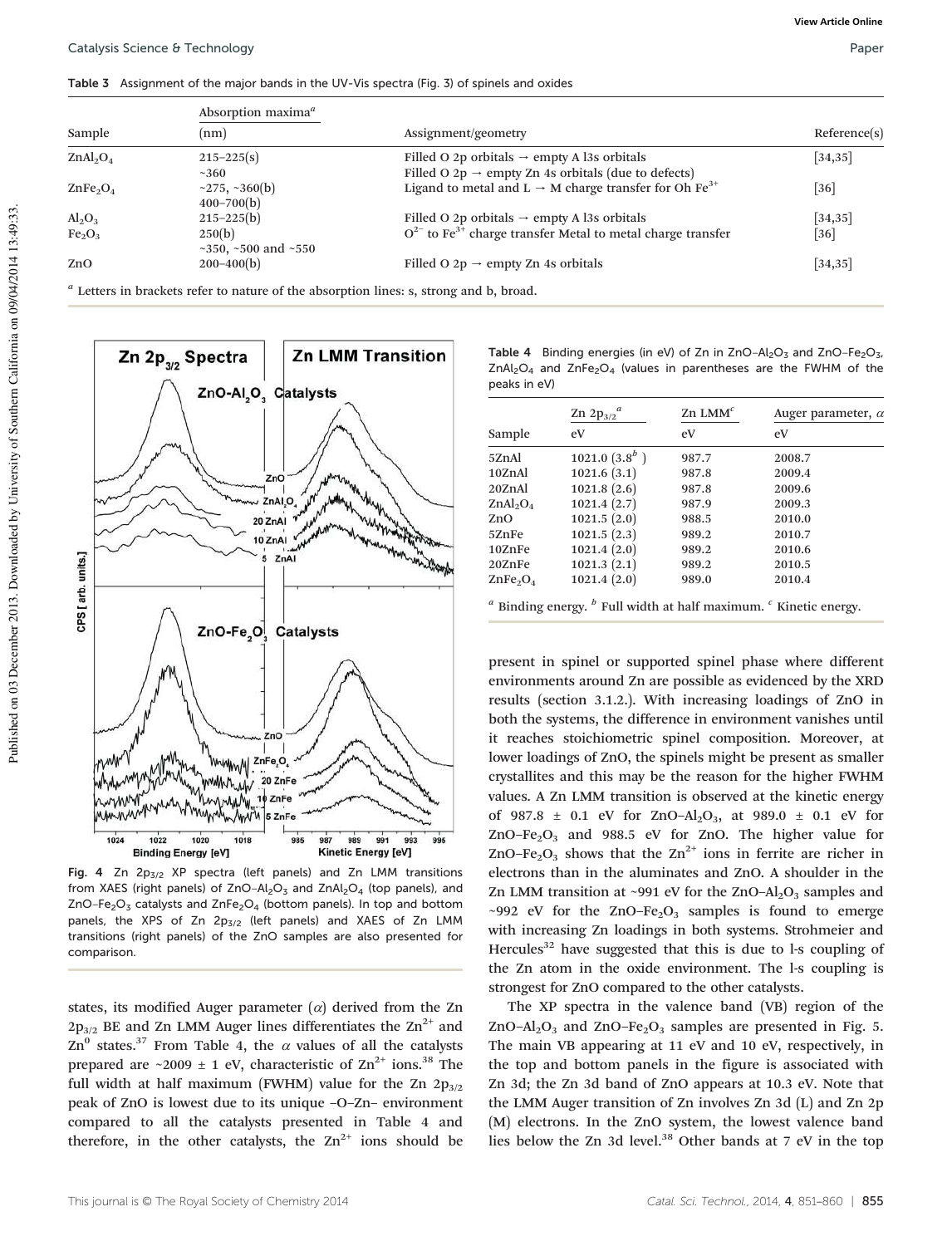Table 3 Assignment of the major bands in the UV-Vis spectra (Fig. 3) of spinels and oxides

|                                  | Absorption maxima <sup><math>a</math></sup> |                                                                                                                            |              |  |  |
|----------------------------------|---------------------------------------------|----------------------------------------------------------------------------------------------------------------------------|--------------|--|--|
| Sample                           | (nm)                                        | Assignment/geometry                                                                                                        | Reference(s) |  |  |
| ZnAl <sub>2</sub> O <sub>4</sub> | $215 - 225(s)$<br>~360                      | Filled O 2p orbitals $\rightarrow$ empty A l3s orbitals<br>Filled O 2p $\rightarrow$ empty Zn 4s orbitals (due to defects) | $[34,35]$    |  |  |
| $\text{ZnFe}_2\text{O}_4$        | $\sim$ 275, $\sim$ 360(b)<br>$400 - 700(b)$ | Ligand to metal and L $\rightarrow$ M charge transfer for Oh Fe <sup>3+</sup>                                              | [36]         |  |  |
| $Al_2O_3$                        | $215 - 225(b)$                              | Filled O 2p orbitals $\rightarrow$ empty A l3s orbitals                                                                    | $[34,35]$    |  |  |
| Fe <sub>2</sub> O <sub>3</sub>   | 250(b)<br>~350, ~500 and ~550               | $Q^{2-}$ to Fe <sup>3+</sup> charge transfer Metal to metal charge transfer                                                | $[36]$       |  |  |
| ZnO                              | $200 - 400(b)$                              | Filled O 2p $\rightarrow$ empty Zn 4s orbitals                                                                             | $[34,35]$    |  |  |

*a* Letters in brackets refer to nature of the absorption lines: s, strong and b, broad.

**Zn LMM Transition** Zn  $2p_{1/2}$  Spectra ZnO-Al<sub>2</sub>O<sub>3</sub> Catalysts ZnC ZnAI<sub>.O.</sub>  $20 \text{ ZnAl}$ ۸ 10 ZnAl units.]  $5 \text{ ZnAl}$ CPS [arb. ZnO-Fe<sub>,O,</sub> Catalysts  $ZnC$ municip 20 ZnFe Whingwhill 10 ZnFe MANNAM 1024 1022 1020 1018 985  $987$ 989 991 995 993 **Binding Energy [eV]** Kinetic Energy [eV]

Fig. 4 Zn 2p<sub>3/2</sub> XP spectra (left panels) and Zn LMM transitions from XAES (right panels) of  $ZnO-Al<sub>2</sub>O<sub>3</sub>$  and  $ZnAl<sub>2</sub>O<sub>4</sub>$  (top panels), and  $ZnO-Fe<sub>2</sub>O<sub>3</sub>$  catalysts and  $ZnFe<sub>2</sub>O<sub>4</sub>$  (bottom panels). In top and bottom panels, the XPS of Zn  $2p_{3/2}$  (left panels) and XAES of Zn LMM transitions (right panels) of the ZnO samples are also presented for comparison.

states, its modified Auger parameter  $(\alpha)$  derived from the Zn  $2p_{3/2}$  BE and Zn LMM Auger lines differentiates the  $\text{Zn}^{2+}$  and Zn<sup>0</sup> states.<sup>37</sup> From Table 4, the  $\alpha$  values of all the catalysts prepared are ~2009  $\pm$  1 eV, characteristic of Zn<sup>2+</sup> ions.<sup>38</sup> The full width at half maximum (FWHM) value for the Zn  $2p_{3/2}$ peak of ZnO is lowest due to its unique –O–Zn– environment compared to all the catalysts presented in Table 4 and therefore, in the other catalysts, the  $Zn^{2+}$  ions should be

Table 4 Binding energies (in eV) of Zn in  $ZnO-Al<sub>2</sub>O<sub>3</sub>$  and  $ZnO-Fe<sub>2</sub>O<sub>3</sub>$ ,  $ZnAl<sub>2</sub>O<sub>4</sub>$  and  $ZnFe<sub>2</sub>O<sub>4</sub>$  (values in parentheses are the FWHM of the peaks in eV)

|                                  | Zn $2p_{3/2}^a$   | $Zn$ LMM <sup>c</sup> | Auger parameter, $\alpha$ |  |
|----------------------------------|-------------------|-----------------------|---------------------------|--|
| Sample                           | eV                | eV                    | eV                        |  |
| 5ZnAl                            | $1021.0(3.8^{b})$ | 987.7                 | 2008.7                    |  |
| 10ZnAl                           | 1021.6(3.1)       | 987.8                 | 2009.4                    |  |
| 20ZnAl                           | 1021.8(2.6)       | 987.8                 | 2009.6                    |  |
| ZnAl <sub>2</sub> O <sub>4</sub> | 1021.4(2.7)       | 987.9                 | 2009.3                    |  |
| ZnO                              | 1021.5(2.0)       | 988.5                 | 2010.0                    |  |
| 5ZnFe                            | 1021.5(2.3)       | 989.2                 | 2010.7                    |  |
| 10ZnFe                           | 1021.4(2.0)       | 989.2                 | 2010.6                    |  |
| 20ZnFe                           | 1021.3(2.1)       | 989.2                 | 2010.5                    |  |
| $\text{ZnFe}_2\text{O}_4$        | 1021.4(2.0)       | 989.0                 | 2010.4                    |  |
|                                  | $\mathbf{r}$      |                       |                           |  |

*a* Binding energy. *<sup>b</sup>* Full width at half maximum. *<sup>c</sup>* Kinetic energy.

present in spinel or supported spinel phase where different environments around Zn are possible as evidenced by the XRD results (section 3.1.2.). With increasing loadings of ZnO in both the systems, the difference in environment vanishes until it reaches stoichiometric spinel composition. Moreover, at lower loadings of ZnO, the spinels might be present as smaller crystallites and this may be the reason for the higher FWHM values. A Zn LMM transition is observed at the kinetic energy of 987.8  $\pm$  0.1 eV for ZnO-Al<sub>2</sub>O<sub>3</sub>, at 989.0  $\pm$  0.1 eV for ZnO–Fe<sub>2</sub>O<sub>3</sub> and 988.5 eV for ZnO. The higher value for ZnO–Fe<sub>2</sub>O<sub>3</sub> shows that the  $Zn^{2+}$  ions in ferrite are richer in electrons than in the aluminates and ZnO. A shoulder in the Zn LMM transition at ~991 eV for the ZnO– $Al_2O_3$  samples and ~992 eV for the ZnO–Fe<sub>2</sub>O<sub>3</sub> samples is found to emerge with increasing Zn loadings in both systems. Strohmeier and Hercules<sup>32</sup> have suggested that this is due to l-s coupling of the Zn atom in the oxide environment. The l-s coupling is strongest for ZnO compared to the other catalysts.

The XP spectra in the valence band (VB) region of the ZnO-Al<sub>2</sub>O<sub>3</sub> and ZnO-Fe<sub>2</sub>O<sub>3</sub> samples are presented in Fig. 5. The main VB appearing at 11 eV and 10 eV, respectively, in the top and bottom panels in the figure is associated with Zn 3d; the Zn 3d band of ZnO appears at 10.3 eV. Note that the LMM Auger transition of Zn involves Zn 3d (L) and Zn 2p (M) electrons. In the ZnO system, the lowest valence band lies below the Zn 3d level.<sup>38</sup> Other bands at 7 eV in the top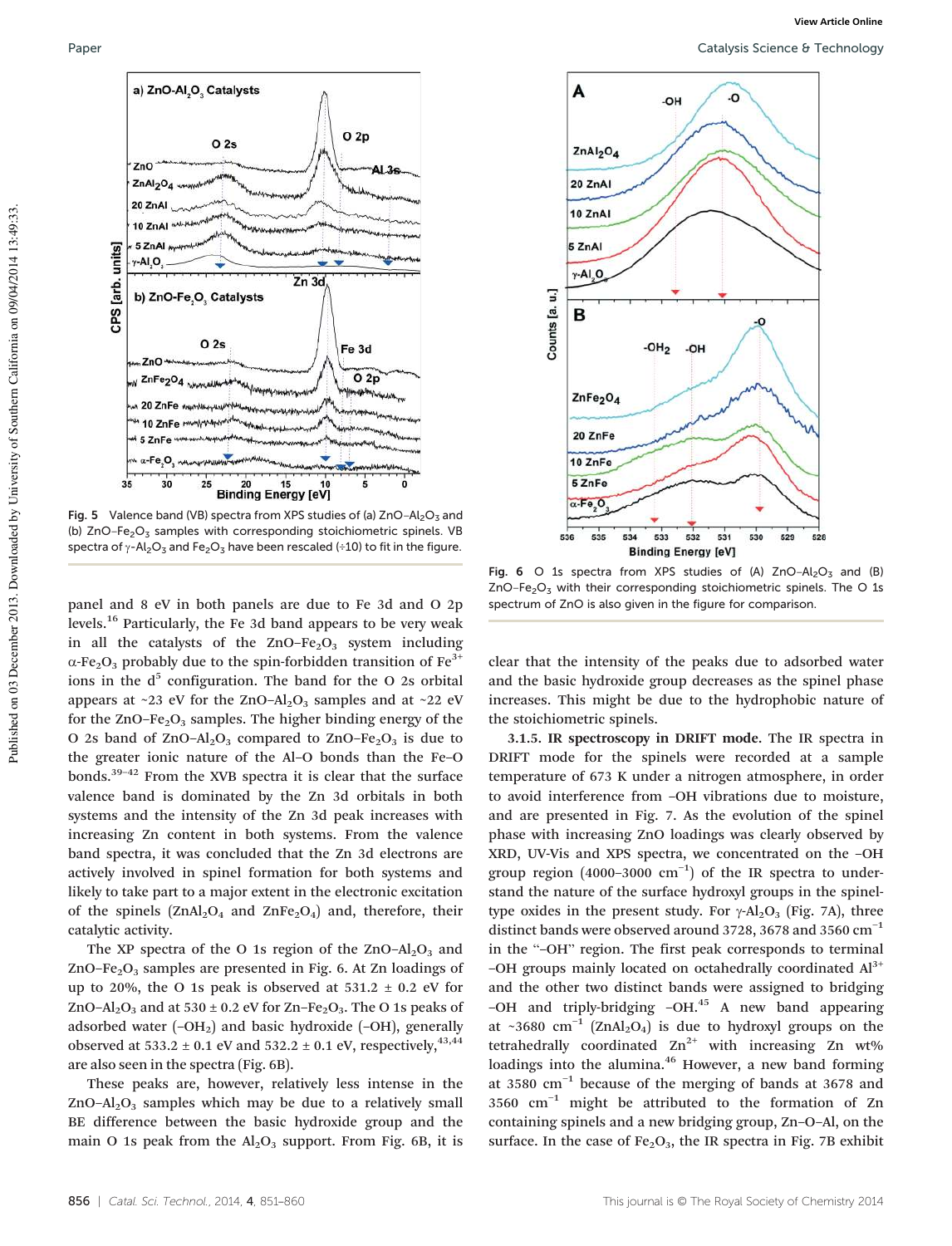

Fig. 5 Valence band (VB) spectra from XPS studies of (a)  $ZnO-Al<sub>2</sub>O<sub>3</sub>$  and (b)  $ZnO-Fe<sub>2</sub>O<sub>3</sub>$  samples with corresponding stoichiometric spinels. VB spectra of  $\gamma$ -Al<sub>2</sub>O<sub>3</sub> and Fe<sub>2</sub>O<sub>3</sub> have been rescaled (÷10) to fit in the figure.

panel and 8 eV in both panels are due to Fe 3d and O 2p levels.<sup>16</sup> Particularly, the Fe 3d band appears to be very weak in all the catalysts of the  $ZnO-Fe<sub>2</sub>O<sub>3</sub>$  system including  $\alpha$ -Fe<sub>2</sub>O<sub>3</sub> probably due to the spin-forbidden transition of Fe<sup>3+</sup> ions in the  $d^5$  configuration. The band for the O 2s orbital appears at ~23 eV for the ZnO-Al<sub>2</sub>O<sub>3</sub> samples and at ~22 eV for the  $ZnO-Fe<sub>2</sub>O<sub>3</sub>$  samples. The higher binding energy of the O 2s band of  $ZnO-Al<sub>2</sub>O<sub>3</sub>$  compared to  $ZnO-Fe<sub>2</sub>O<sub>3</sub>$  is due to the greater ionic nature of the Al–O bonds than the Fe–O bonds.39–<sup>42</sup> From the XVB spectra it is clear that the surface valence band is dominated by the Zn 3d orbitals in both systems and the intensity of the Zn 3d peak increases with increasing Zn content in both systems. From the valence band spectra, it was concluded that the Zn 3d electrons are actively involved in spinel formation for both systems and likely to take part to a major extent in the electronic excitation of the spinels  $(ZnAl<sub>2</sub>O<sub>4</sub>$  and  $ZnFe<sub>2</sub>O<sub>4</sub>$ ) and, therefore, their catalytic activity.

The XP spectra of the O 1s region of the ZnO-Al<sub>2</sub>O<sub>3</sub> and ZnO–Fe<sub>2</sub>O<sub>3</sub> samples are presented in Fig. 6. At Zn loadings of up to 20%, the O 1s peak is observed at  $531.2 \pm 0.2$  eV for ZnO–Al<sub>2</sub>O<sub>3</sub> and at 530  $\pm$  0.2 eV for Zn–Fe<sub>2</sub>O<sub>3</sub>. The O 1s peaks of adsorbed water  $(-OH<sub>2</sub>)$  and basic hydroxide  $(-OH)$ , generally observed at 533.2  $\pm$  0.1 eV and 532.2  $\pm$  0.1 eV, respectively,  $^{43,44}$ are also seen in the spectra (Fig. 6B).

These peaks are, however, relatively less intense in the  $ZnO-Al<sub>2</sub>O<sub>3</sub>$  samples which may be due to a relatively small BE difference between the basic hydroxide group and the main O 1s peak from the  $Al_2O_3$  support. From Fig. 6B, it is



Fig. 6 O 1s spectra from XPS studies of (A)  $ZnO-Al<sub>2</sub>O<sub>3</sub>$  and (B)  $ZnO-Fe<sub>2</sub>O<sub>3</sub>$  with their corresponding stoichiometric spinels. The O 1s spectrum of ZnO is also given in the figure for comparison.

clear that the intensity of the peaks due to adsorbed water and the basic hydroxide group decreases as the spinel phase increases. This might be due to the hydrophobic nature of the stoichiometric spinels.

3.1.5. IR spectroscopy in DRIFT mode. The IR spectra in DRIFT mode for the spinels were recorded at a sample temperature of 673 K under a nitrogen atmosphere, in order to avoid interference from –OH vibrations due to moisture, and are presented in Fig. 7. As the evolution of the spinel phase with increasing ZnO loadings was clearly observed by XRD, UV-Vis and XPS spectra, we concentrated on the –OH group region (4000-3000  $cm^{-1}$ ) of the IR spectra to understand the nature of the surface hydroxyl groups in the spineltype oxides in the present study. For  $\gamma$ -Al<sub>2</sub>O<sub>3</sub> (Fig. 7A), three distinct bands were observed around 3728, 3678 and 3560  $cm^{-1}$ in the "–OH" region. The first peak corresponds to terminal –OH groups mainly located on octahedrally coordinated  $Al<sup>3+</sup>$ and the other two distinct bands were assigned to bridging -OH and triply-bridging  $-OH<sup>45</sup>$  A new band appearing at ~3680 cm<sup>-1</sup> (ZnAl<sub>2</sub>O<sub>4</sub>) is due to hydroxyl groups on the tetrahedrally coordinated  $Zn^{2+}$  with increasing Zn wt% loadings into the alumina.<sup>46</sup> However, a new band forming at 3580 cm−<sup>1</sup> because of the merging of bands at 3678 and 3560 cm−<sup>1</sup> might be attributed to the formation of Zn containing spinels and a new bridging group, Zn–O–Al, on the surface. In the case of  $Fe<sub>2</sub>O<sub>3</sub>$ , the IR spectra in Fig. 7B exhibit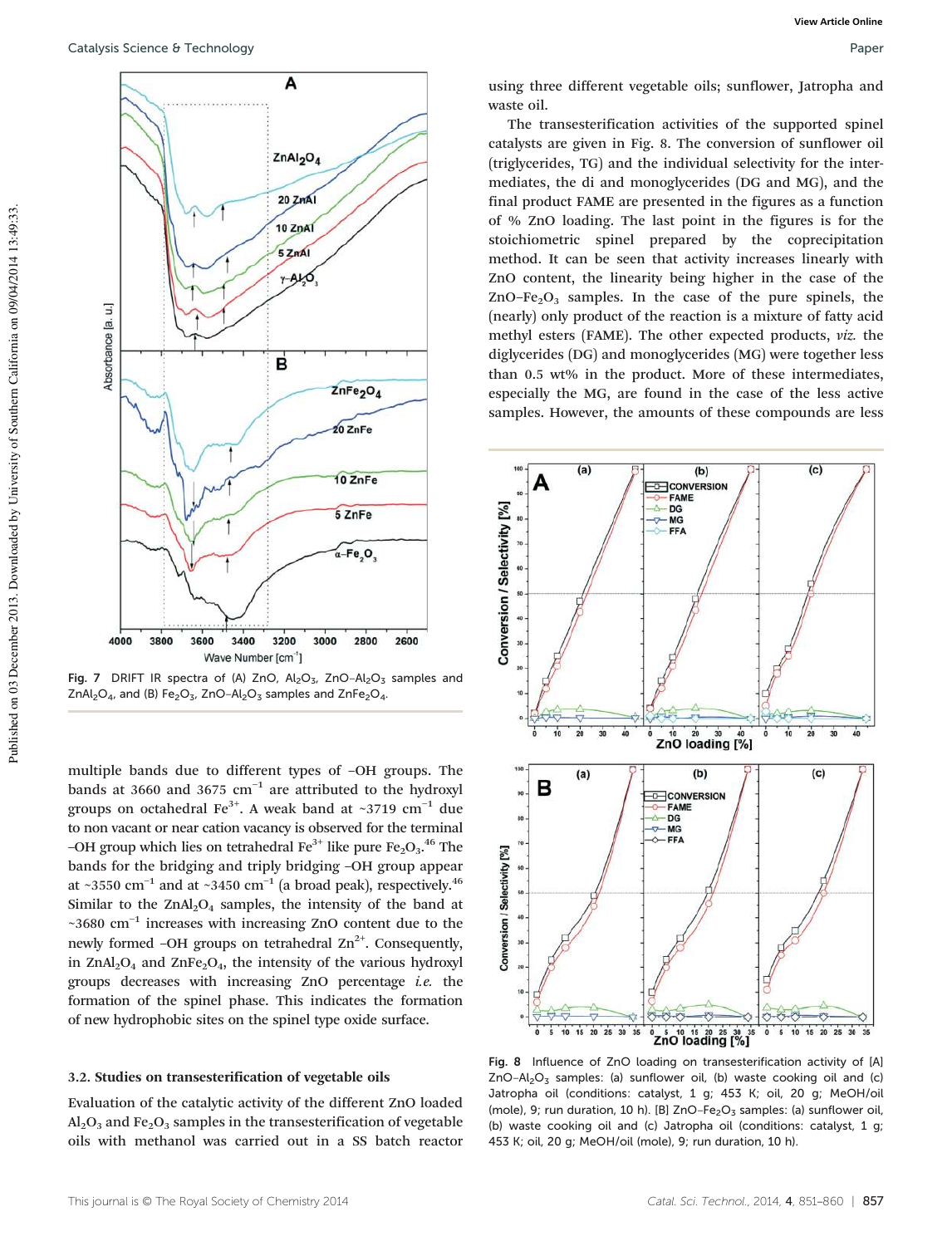

Fig. 7 DRIFT IR spectra of (A) ZnO,  $Al_2O_3$ , ZnO- $Al_2O_3$  samples and ZnAl<sub>2</sub>O<sub>4</sub>, and (B) Fe<sub>2</sub>O<sub>3</sub>, ZnO-Al<sub>2</sub>O<sub>3</sub> samples and ZnFe<sub>2</sub>O<sub>4</sub>.

multiple bands due to different types of –OH groups. The bands at 3660 and 3675 cm−<sup>1</sup> are attributed to the hydroxyl groups on octahedral Fe<sup>3+</sup>. A weak band at ~3719 cm<sup>-1</sup> due to non vacant or near cation vacancy is observed for the terminal -OH group which lies on tetrahedral  $Fe^{3+}$  like pure  $Fe_2O_3$ .<sup>46</sup> The bands for the bridging and triply bridging –OH group appear at ~3550 cm<sup>-1</sup> and at ~3450 cm<sup>-1</sup> (a broad peak), respectively.<sup>46</sup> Similar to the  $ZnAl_2O_4$  samples, the intensity of the band at ~3680 cm−<sup>1</sup> increases with increasing ZnO content due to the newly formed –OH groups on tetrahedral  $\text{Zn}^{2+}$ . Consequently, in  $ZnAl<sub>2</sub>O<sub>4</sub>$  and  $ZnFe<sub>2</sub>O<sub>4</sub>$ , the intensity of the various hydroxyl groups decreases with increasing ZnO percentage *i.e.* the formation of the spinel phase. This indicates the formation of new hydrophobic sites on the spinel type oxide surface.

### 3.2. Studies on transesterification of vegetable oils

Evaluation of the catalytic activity of the different ZnO loaded  $Al_2O_3$  and Fe<sub>2</sub>O<sub>3</sub> samples in the transesterification of vegetable oils with methanol was carried out in a SS batch reactor using three different vegetable oils; sunflower, Jatropha and waste oil.

The transesterification activities of the supported spinel catalysts are given in Fig. 8. The conversion of sunflower oil (triglycerides, TG) and the individual selectivity for the intermediates, the di and monoglycerides (DG and MG), and the final product FAME are presented in the figures as a function of % ZnO loading. The last point in the figures is for the stoichiometric spinel prepared by the coprecipitation method. It can be seen that activity increases linearly with ZnO content, the linearity being higher in the case of the  $ZnO-Fe<sub>2</sub>O<sub>3</sub>$  samples. In the case of the pure spinels, the (nearly) only product of the reaction is a mixture of fatty acid methyl esters (FAME). The other expected products, *viz.* the diglycerides (DG) and monoglycerides (MG) were together less than 0.5 wt% in the product. More of these intermediates, especially the MG, are found in the case of the less active samples. However, the amounts of these compounds are less



Fig. 8 Influence of ZnO loading on transesterification activity of [A]  $ZnO-Al<sub>2</sub>O<sub>3</sub>$  samples: (a) sunflower oil, (b) waste cooking oil and (c) Jatropha oil (conditions: catalyst, 1 g; 453 K; oil, 20 g; MeOH/oil (mole), 9; run duration, 10 h). [B]  $ZnO-Fe<sub>2</sub>O<sub>3</sub>$  samples: (a) sunflower oil, (b) waste cooking oil and (c) Jatropha oil (conditions: catalyst, 1 g; 453 K; oil, 20 g; MeOH/oil (mole), 9; run duration, 10 h).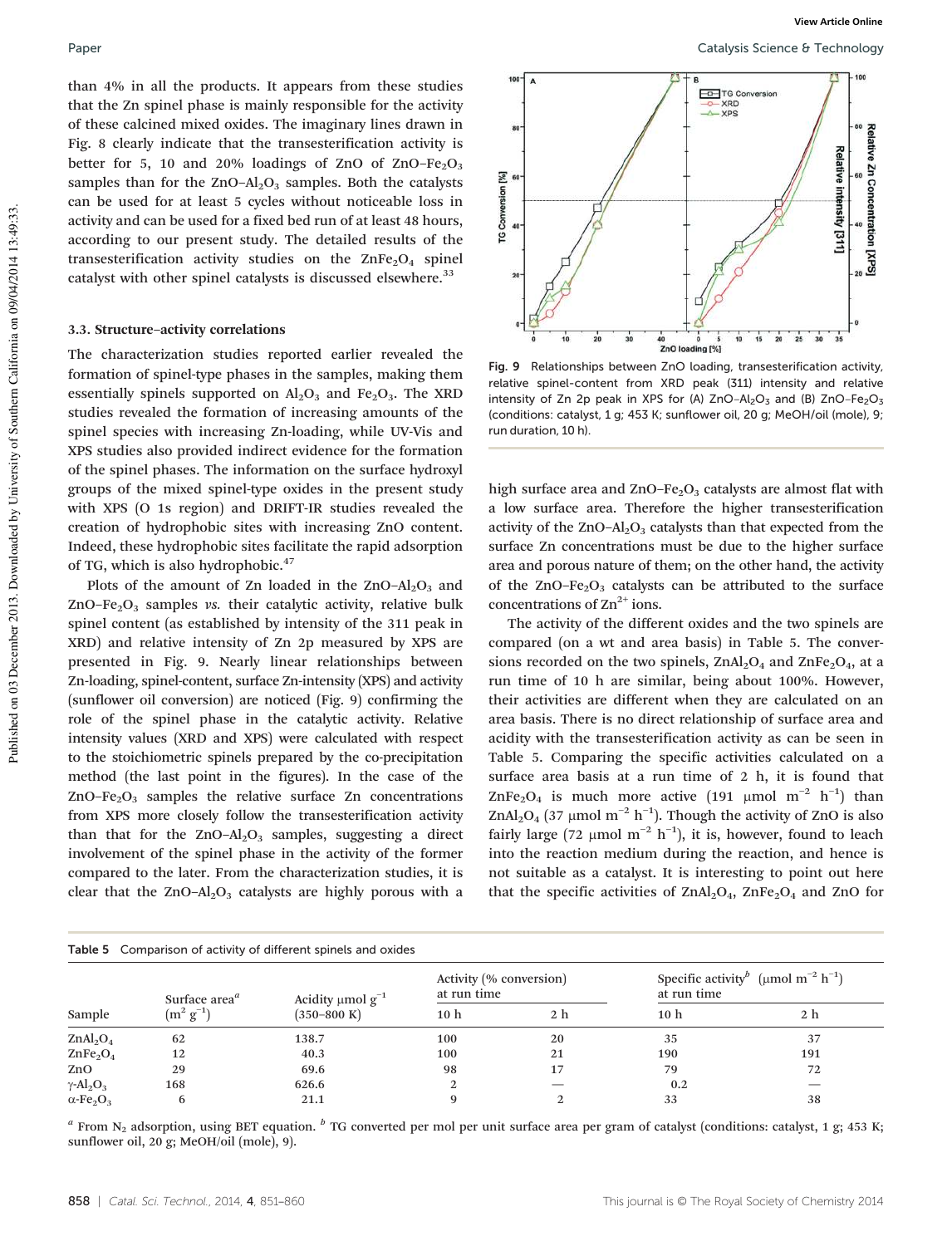than 4% in all the products. It appears from these studies that the Zn spinel phase is mainly responsible for the activity of these calcined mixed oxides. The imaginary lines drawn in Fig. 8 clearly indicate that the transesterification activity is better for 5, 10 and 20% loadings of ZnO of ZnO–Fe<sub>2</sub>O<sub>3</sub> samples than for the  $ZnO-Al<sub>2</sub>O<sub>3</sub>$  samples. Both the catalysts can be used for at least 5 cycles without noticeable loss in activity and can be used for a fixed bed run of at least 48 hours, according to our present study. The detailed results of the transesterification activity studies on the  $\text{ZnFe}_2\text{O}_4$  spinel catalyst with other spinel catalysts is discussed elsewhere.<sup>33</sup>

#### 3.3. Structure–activity correlations

The characterization studies reported earlier revealed the formation of spinel-type phases in the samples, making them essentially spinels supported on  $\text{Al}_2\text{O}_3$  and Fe<sub>2</sub>O<sub>3</sub>. The XRD studies revealed the formation of increasing amounts of the spinel species with increasing Zn-loading, while UV-Vis and XPS studies also provided indirect evidence for the formation of the spinel phases. The information on the surface hydroxyl groups of the mixed spinel-type oxides in the present study with XPS (O 1s region) and DRIFT-IR studies revealed the creation of hydrophobic sites with increasing ZnO content. Indeed, these hydrophobic sites facilitate the rapid adsorption of TG, which is also hydrophobic.<sup>47</sup>

Plots of the amount of Zn loaded in the  $ZnO-Al<sub>2</sub>O<sub>3</sub>$  and  $ZnO-Fe<sub>2</sub>O<sub>3</sub>$  samples *vs.* their catalytic activity, relative bulk spinel content (as established by intensity of the 311 peak in XRD) and relative intensity of Zn 2p measured by XPS are presented in Fig. 9. Nearly linear relationships between Zn-loading, spinel-content, surface Zn-intensity (XPS) and activity (sunflower oil conversion) are noticed (Fig. 9) confirming the role of the spinel phase in the catalytic activity. Relative intensity values (XRD and XPS) were calculated with respect to the stoichiometric spinels prepared by the co-precipitation method (the last point in the figures). In the case of the  $ZnO-Fe<sub>2</sub>O<sub>3</sub>$  samples the relative surface Zn concentrations from XPS more closely follow the transesterification activity than that for the  $ZnO-Al<sub>2</sub>O<sub>3</sub>$  samples, suggesting a direct involvement of the spinel phase in the activity of the former compared to the later. From the characterization studies, it is clear that the  $ZnO-Al<sub>2</sub>O<sub>3</sub>$  catalysts are highly porous with a



Fig. 9 Relationships between ZnO loading, transesterification activity, relative spinel-content from XRD peak (311) intensity and relative intensity of Zn 2p peak in XPS for (A)  $ZnO-Al<sub>2</sub>O<sub>3</sub>$  and (B)  $ZnO-Fe<sub>2</sub>O<sub>3</sub>$ (conditions: catalyst, 1 g; 453 K; sunflower oil, 20 g; MeOH/oil (mole), 9; run duration, 10 h).

high surface area and  $ZnO-Fe<sub>2</sub>O<sub>3</sub>$  catalysts are almost flat with a low surface area. Therefore the higher transesterification activity of the  $ZnO-Al<sub>2</sub>O<sub>3</sub>$  catalysts than that expected from the surface Zn concentrations must be due to the higher surface area and porous nature of them; on the other hand, the activity of the  $ZnO-Fe<sub>2</sub>O<sub>3</sub>$  catalysts can be attributed to the surface concentrations of  $\text{Zn}^{2+}$  ions.

The activity of the different oxides and the two spinels are compared (on a wt and area basis) in Table 5. The conversions recorded on the two spinels,  $ZnAl<sub>2</sub>O<sub>4</sub>$  and  $ZnFe<sub>2</sub>O<sub>4</sub>$ , at a run time of 10 h are similar, being about 100%. However, their activities are different when they are calculated on an area basis. There is no direct relationship of surface area and acidity with the transesterification activity as can be seen in Table 5. Comparing the specific activities calculated on a surface area basis at a run time of 2 h, it is found that ZnFe<sub>2</sub>O<sub>4</sub> is much more active (191 µmol m<sup>-2</sup> h<sup>-1</sup>) than ZnAl<sub>2</sub>O<sub>4</sub> (37 µmol m<sup>-2</sup> h<sup>-1</sup>). Though the activity of ZnO is also fairly large (72 µmol m<sup>-2</sup> h<sup>-1</sup>), it is, however, found to leach into the reaction medium during the reaction, and hence is not suitable as a catalyst. It is interesting to point out here that the specific activities of  $ZnAl<sub>2</sub>O<sub>4</sub>$ ,  $ZnFe<sub>2</sub>O<sub>4</sub>$  and ZnO for

|                                          | Table 5 Comparison of activity of different spinels and oxides |                                                       |                                        |                |                                                                                       |     |
|------------------------------------------|----------------------------------------------------------------|-------------------------------------------------------|----------------------------------------|----------------|---------------------------------------------------------------------------------------|-----|
|                                          | Surface area <sup>a</sup><br>$(m^2 g^{-1})$                    | Acidity $\mu$ mol $g^{-1}$<br>$(350 - 800 \text{ K})$ | Activity (% conversion)<br>at run time |                | Specific activity <sup>b</sup> (µmol m <sup>-2</sup> h <sup>-1</sup> )<br>at run time |     |
| Sample                                   |                                                                |                                                       | 10 <sub>h</sub>                        | 2 <sub>h</sub> | 10 <sub>h</sub>                                                                       | 2 h |
| ZnAl <sub>2</sub> O <sub>4</sub>         | 62                                                             | 138.7                                                 | 100                                    | 20             | 35                                                                                    | 37  |
| ZnFe <sub>2</sub> O <sub>4</sub>         | 12                                                             | 40.3                                                  | 100                                    | 21             | 190                                                                                   | 191 |
| ZnO                                      | 29                                                             | 69.6                                                  | 98                                     | 17             | 79                                                                                    | 72  |
| $\gamma$ -Al <sub>2</sub> O <sub>3</sub> | 168                                                            | 626.6                                                 |                                        |                | 0.2                                                                                   |     |
| $\alpha$ -Fe <sub>2</sub> O <sub>3</sub> | 6                                                              | 21.1                                                  |                                        |                | 33                                                                                    | 38  |

 $^a$  From N<sub>2</sub> adsorption, using BET equation.  $^b$  TG converted per mol per unit surface area per gram of catalyst (conditions: catalyst, 1 g; 453 K; sunflower oil, 20 g; MeOH/oil (mole), 9).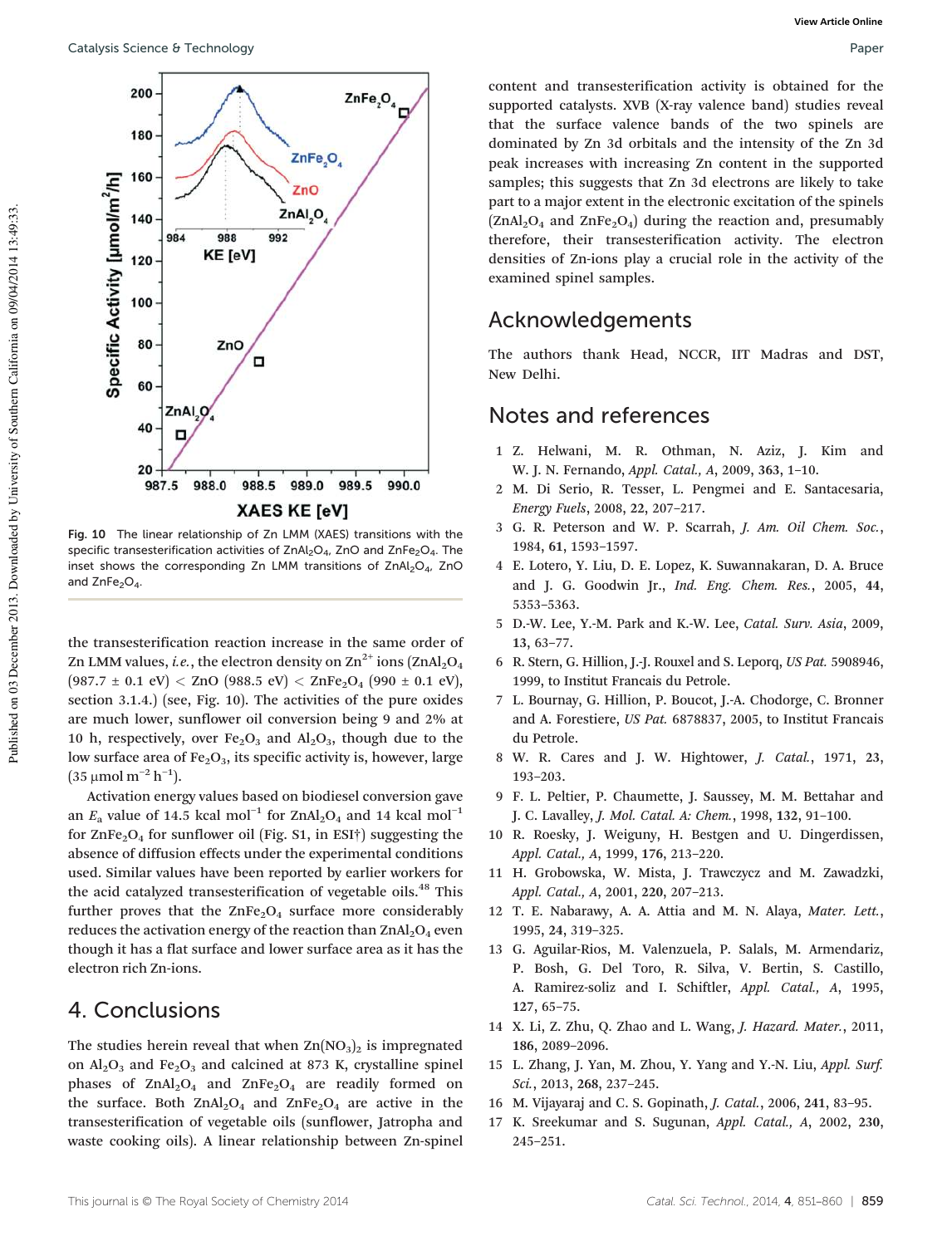

Fig. 10 The linear relationship of Zn LMM (XAES) transitions with the specific transesterification activities of ZnAl<sub>2</sub>O<sub>4</sub>, ZnO and ZnFe<sub>2</sub>O<sub>4</sub>. The inset shows the corresponding Zn LMM transitions of  $ZnAl<sub>2</sub>O<sub>4</sub>$ , ZnO and  $ZnFe<sub>2</sub>O<sub>4</sub>$ .

the transesterification reaction increase in the same order of Zn LMM values, *i.e.*, the electron density on  $\text{Zn}^{2+}$  ions ( $\text{ZnAl}_2\text{O}_4$  $(987.7 \pm 0.1 \text{ eV}) <$  ZnO  $(988.5 \text{ eV}) <$  ZnFe<sub>2</sub>O<sub>4</sub>  $(990 \pm 0.1 \text{ eV})$ , section 3.1.4.) (see, Fig. 10). The activities of the pure oxides are much lower, sunflower oil conversion being 9 and 2% at 10 h, respectively, over  $Fe<sub>2</sub>O<sub>3</sub>$  and  $Al<sub>2</sub>O<sub>3</sub>$ , though due to the low surface area of  $Fe<sub>2</sub>O<sub>3</sub>$ , its specific activity is, however, large  $(35 \mu mol m^{-2} h^{-1}).$ 

Activation energy values based on biodiesel conversion gave an  $E_a$  value of 14.5 kcal mol<sup>-1</sup> for ZnAl<sub>2</sub>O<sub>4</sub> and 14 kcal mol<sup>-1</sup> for  $\text{ZnFe}_2\text{O}_4$  for sunflower oil (Fig. S1, in ESI†) suggesting the absence of diffusion effects under the experimental conditions used. Similar values have been reported by earlier workers for the acid catalyzed transesterification of vegetable oils.<sup>48</sup> This further proves that the  $ZnFe<sub>2</sub>O<sub>4</sub>$  surface more considerably reduces the activation energy of the reaction than  $ZnAl<sub>2</sub>O<sub>4</sub>$  even though it has a flat surface and lower surface area as it has the electron rich Zn-ions.

## 4. Conclusions

The studies herein reveal that when  $\text{Zn}(\text{NO}_3)_2$  is impregnated on  $Al_2O_3$  and Fe<sub>2</sub>O<sub>3</sub> and calcined at 873 K, crystalline spinel phases of  $ZnAl<sub>2</sub>O<sub>4</sub>$  and  $ZnFe<sub>2</sub>O<sub>4</sub>$  are readily formed on the surface. Both  $ZnAl<sub>2</sub>O<sub>4</sub>$  and  $ZnFe<sub>2</sub>O<sub>4</sub>$  are active in the transesterification of vegetable oils (sunflower, Jatropha and waste cooking oils). A linear relationship between Zn-spinel

content and transesterification activity is obtained for the supported catalysts. XVB (X-ray valence band) studies reveal that the surface valence bands of the two spinels are dominated by Zn 3d orbitals and the intensity of the Zn 3d peak increases with increasing Zn content in the supported samples; this suggests that Zn 3d electrons are likely to take part to a major extent in the electronic excitation of the spinels  $(ZnAl<sub>2</sub>O<sub>4</sub>$  and  $ZnFe<sub>2</sub>O<sub>4</sub>$  during the reaction and, presumably therefore, their transesterification activity. The electron densities of Zn-ions play a crucial role in the activity of the examined spinel samples.

# Acknowledgements

The authors thank Head, NCCR, IIT Madras and DST, New Delhi.

# Notes and references

- 1 Z. Helwani, M. R. Othman, N. Aziz, J. Kim and W. J. N. Fernando, *Appl. Catal., A*, 2009, 363, 1–10.
- 2 M. Di Serio, R. Tesser, L. Pengmei and E. Santacesaria, *Energy Fuels*, 2008, 22, 207–217.
- 3 G. R. Peterson and W. P. Scarrah, *J. Am. Oil Chem. Soc.*, 1984, 61, 1593–1597.
- 4 E. Lotero, Y. Liu, D. E. Lopez, K. Suwannakaran, D. A. Bruce and J. G. Goodwin Jr., *Ind. Eng. Chem. Res.*, 2005, 44, 5353–5363.
- 5 D.-W. Lee, Y.-M. Park and K.-W. Lee, *Catal. Surv. Asia*, 2009, 13, 63–77.
- 6 R. Stern, G. Hillion, J.-J. Rouxel and S. Leporq, *US Pat.* 5908946, 1999, to Institut Francais du Petrole.
- 7 L. Bournay, G. Hillion, P. Boucot, J.-A. Chodorge, C. Bronner and A. Forestiere, *US Pat.* 6878837, 2005, to Institut Francais du Petrole.
- 8 W. R. Cares and J. W. Hightower, *J. Catal.*, 1971, 23, 193–203.
- 9 F. L. Peltier, P. Chaumette, J. Saussey, M. M. Bettahar and J. C. Lavalley, *J. Mol. Catal. A: Chem.*, 1998, 132, 91–100.
- 10 R. Roesky, J. Weiguny, H. Bestgen and U. Dingerdissen, *Appl. Catal., A*, 1999, 176, 213–220.
- 11 H. Grobowska, W. Mista, J. Trawczycz and M. Zawadzki, *Appl. Catal., A*, 2001, 220, 207–213.
- 12 T. E. Nabarawy, A. A. Attia and M. N. Alaya, *Mater. Lett.*, 1995, 24, 319–325.
- 13 G. Aguilar-Rios, M. Valenzuela, P. Salals, M. Armendariz, P. Bosh, G. Del Toro, R. Silva, V. Bertin, S. Castillo, A. Ramirez-soliz and I. Schiftler, *Appl. Catal., A*, 1995, 127, 65–75.
- 14 X. Li, Z. Zhu, Q. Zhao and L. Wang, *J. Hazard. Mater.*, 2011, 186, 2089–2096.
- 15 L. Zhang, J. Yan, M. Zhou, Y. Yang and Y.-N. Liu, *Appl. Surf. Sci.*, 2013, 268, 237–245.
- 16 M. Vijayaraj and C. S. Gopinath, *J. Catal.*, 2006, 241, 83–95.
- 17 K. Sreekumar and S. Sugunan, *Appl. Catal., A*, 2002, 230, 245–251.